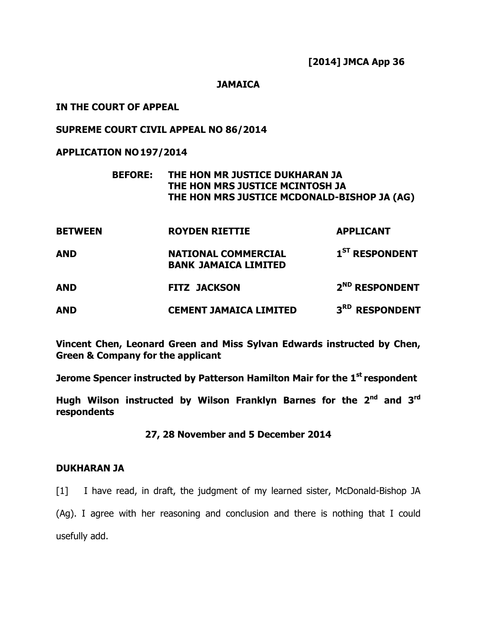#### **JAMAICA**

## IN THE COURT OF APPEAL

## SUPREME COURT CIVIL APPEAL NO 86/2014

## APPLICATION NO 197/2014

## BEFORE: THE HON MR JUSTICE DUKHARAN JA THE HON MRS JUSTICE MCINTOSH JA THE HON MRS JUSTICE MCDONALD-BISHOP JA (AG)

| <b>BETWEEN</b> | <b>ROYDEN RIETTIE</b>                                     | <b>APPLICANT</b>           |
|----------------|-----------------------------------------------------------|----------------------------|
| <b>AND</b>     | <b>NATIONAL COMMERCIAL</b><br><b>BANK JAMAICA LIMITED</b> | 1 <sup>ST</sup> RESPONDENT |
| <b>AND</b>     | <b>FITZ JACKSON</b>                                       | 2 <sup>ND</sup> RESPONDENT |
| <b>AND</b>     | <b>CEMENT JAMAICA LIMITED</b>                             | 3 <sup>RD</sup> RESPONDENT |

Vincent Chen, Leonard Green and Miss Sylvan Edwards instructed by Chen, Green & Company for the applicant

Jerome Spencer instructed by Patterson Hamilton Mair for the 1<sup>st</sup> respondent

Hugh Wilson instructed by Wilson Franklyn Barnes for the  $2<sup>nd</sup>$  and  $3<sup>rd</sup>$ respondents

27, 28 November and 5 December 2014

## DUKHARAN JA

[1] I have read, in draft, the judgment of my learned sister, McDonald-Bishop JA

(Ag). I agree with her reasoning and conclusion and there is nothing that I could usefully add.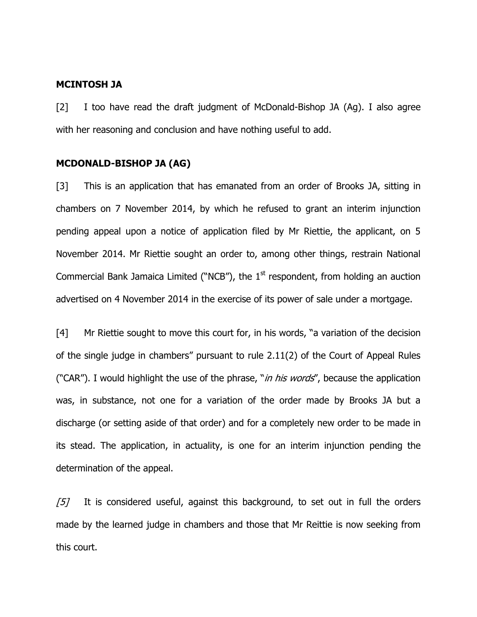#### MCINTOSH JA

[2] I too have read the draft judgment of McDonald-Bishop JA (Ag). I also agree with her reasoning and conclusion and have nothing useful to add.

#### MCDONALD-BISHOP JA (AG)

[3] This is an application that has emanated from an order of Brooks JA, sitting in chambers on 7 November 2014, by which he refused to grant an interim injunction pending appeal upon a notice of application filed by Mr Riettie, the applicant, on 5 November 2014. Mr Riettie sought an order to, among other things, restrain National Commercial Bank Jamaica Limited ("NCB"), the  $1<sup>st</sup>$  respondent, from holding an auction advertised on 4 November 2014 in the exercise of its power of sale under a mortgage.

[4] Mr Riettie sought to move this court for, in his words, "a variation of the decision of the single judge in chambers" pursuant to rule 2.11(2) of the Court of Appeal Rules ("CAR"). I would highlight the use of the phrase, "*in his words*", because the application was, in substance, not one for a variation of the order made by Brooks JA but a discharge (or setting aside of that order) and for a completely new order to be made in its stead. The application, in actuality, is one for an interim injunction pending the determination of the appeal.

 $[5]$  It is considered useful, against this background, to set out in full the orders made by the learned judge in chambers and those that Mr Reittie is now seeking from this court.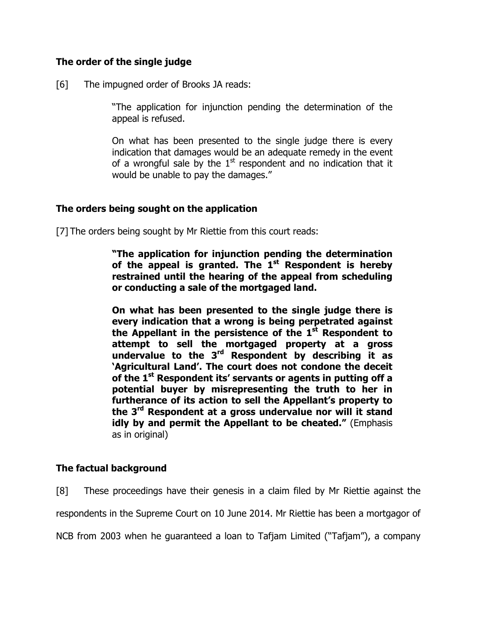## The order of the single judge

[6] The impugned order of Brooks JA reads:

"The application for injunction pending the determination of the appeal is refused.

On what has been presented to the single judge there is every indication that damages would be an adequate remedy in the event of a wrongful sale by the  $1<sup>st</sup>$  respondent and no indication that it would be unable to pay the damages."

## The orders being sought on the application

[7] The orders being sought by Mr Riettie from this court reads:

"The application for injunction pending the determination of the appeal is granted. The  $1<sup>st</sup>$  Respondent is hereby restrained until the hearing of the appeal from scheduling or conducting a sale of the mortgaged land.

On what has been presented to the single judge there is every indication that a wrong is being perpetrated against the Appellant in the persistence of the  $1<sup>st</sup>$  Respondent to attempt to sell the mortgaged property at a gross undervalue to the  $3<sup>rd</sup>$  Respondent by describing it as 'Agricultural Land'. The court does not condone the deceit of the  $1^{st}$  Respondent its' servants or agents in putting off a potential buyer by misrepresenting the truth to her in furtherance of its action to sell the Appellant's property to the 3<sup>rd</sup> Respondent at a gross undervalue nor will it stand idly by and permit the Appellant to be cheated." (Emphasis as in original)

# The factual background

[8] These proceedings have their genesis in a claim filed by Mr Riettie against the respondents in the Supreme Court on 10 June 2014. Mr Riettie has been a mortgagor of NCB from 2003 when he guaranteed a loan to Tafjam Limited ("Tafjam"), a company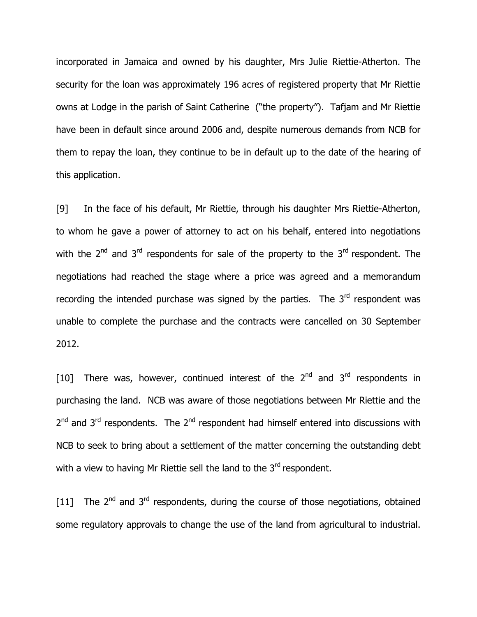incorporated in Jamaica and owned by his daughter, Mrs Julie Riettie-Atherton. The security for the loan was approximately 196 acres of registered property that Mr Riettie owns at Lodge in the parish of Saint Catherine ("the property"). Tafjam and Mr Riettie have been in default since around 2006 and, despite numerous demands from NCB for them to repay the loan, they continue to be in default up to the date of the hearing of this application.

[9] In the face of his default, Mr Riettie, through his daughter Mrs Riettie-Atherton, to whom he gave a power of attorney to act on his behalf, entered into negotiations with the  $2^{nd}$  and  $3^{rd}$  respondents for sale of the property to the  $3^{rd}$  respondent. The negotiations had reached the stage where a price was agreed and a memorandum recording the intended purchase was signed by the parties. The  $3<sup>rd</sup>$  respondent was unable to complete the purchase and the contracts were cancelled on 30 September 2012.

[10] There was, however, continued interest of the  $2^{nd}$  and  $3^{rd}$  respondents in purchasing the land. NCB was aware of those negotiations between Mr Riettie and the 2<sup>nd</sup> and 3<sup>rd</sup> respondents. The 2<sup>nd</sup> respondent had himself entered into discussions with NCB to seek to bring about a settlement of the matter concerning the outstanding debt with a view to having Mr Riettie sell the land to the  $3<sup>rd</sup>$  respondent.

[11] The  $2^{nd}$  and  $3^{rd}$  respondents, during the course of those negotiations, obtained some regulatory approvals to change the use of the land from agricultural to industrial.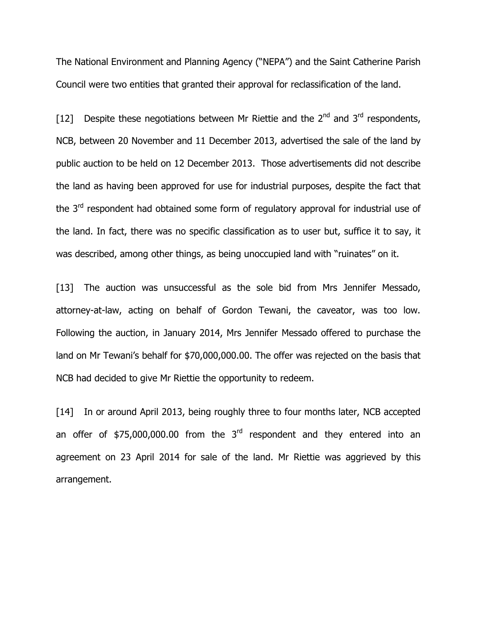The National Environment and Planning Agency ("NEPA") and the Saint Catherine Parish Council were two entities that granted their approval for reclassification of the land.

[12] Despite these negotiations between Mr Riettie and the  $2^{nd}$  and  $3^{rd}$  respondents, NCB, between 20 November and 11 December 2013, advertised the sale of the land by public auction to be held on 12 December 2013. Those advertisements did not describe the land as having been approved for use for industrial purposes, despite the fact that the 3<sup>rd</sup> respondent had obtained some form of regulatory approval for industrial use of the land. In fact, there was no specific classification as to user but, suffice it to say, it was described, among other things, as being unoccupied land with "ruinates" on it.

[13] The auction was unsuccessful as the sole bid from Mrs Jennifer Messado, attorney-at-law, acting on behalf of Gordon Tewani, the caveator, was too low. Following the auction, in January 2014, Mrs Jennifer Messado offered to purchase the land on Mr Tewani's behalf for \$70,000,000.00. The offer was rejected on the basis that NCB had decided to give Mr Riettie the opportunity to redeem.

[14] In or around April 2013, being roughly three to four months later, NCB accepted an offer of  $$75,000,000.00$  from the  $3<sup>rd</sup>$  respondent and they entered into an agreement on 23 April 2014 for sale of the land. Mr Riettie was aggrieved by this arrangement.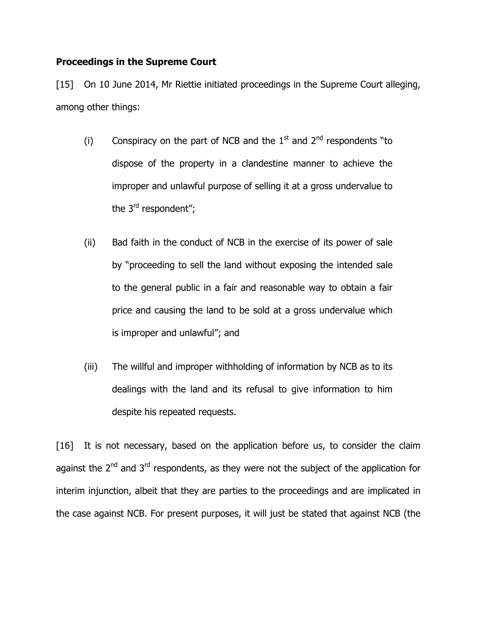## Proceedings in the Supreme Court

[15] On 10 June 2014, Mr Riettie initiated proceedings in the Supreme Court alleging, among other things:

- (i) Conspiracy on the part of NCB and the  $1<sup>st</sup>$  and  $2<sup>nd</sup>$  respondents "to dispose of the property in a clandestine manner to achieve the improper and unlawful purpose of selling it at a gross undervalue to the 3<sup>rd</sup> respondent";
- (ii) Bad faith in the conduct of NCB in the exercise of its power of sale by "proceeding to sell the land without exposing the intended sale to the general public in a fair and reasonable way to obtain a fair price and causing the land to be sold at a gross undervalue which is improper and unlawful"; and
- (iii) The willful and improper withholding of information by NCB as to its dealings with the land and its refusal to give information to him despite his repeated requests.

[16] It is not necessary, based on the application before us, to consider the claim against the  $2<sup>nd</sup>$  and  $3<sup>rd</sup>$  respondents, as they were not the subject of the application for interim injunction, albeit that they are parties to the proceedings and are implicated in the case against NCB. For present purposes, it will just be stated that against NCB (the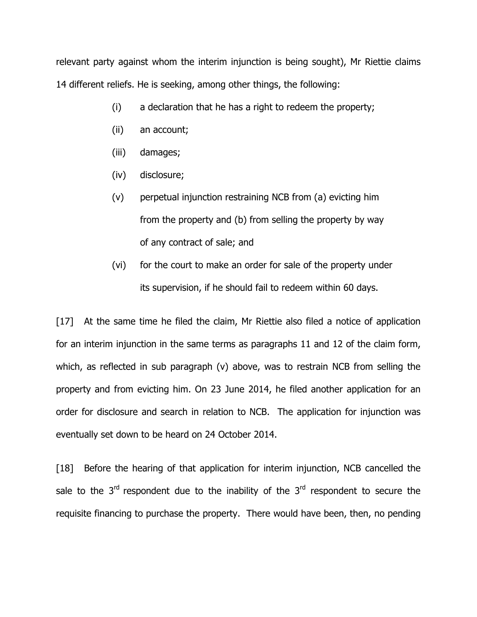relevant party against whom the interim injunction is being sought), Mr Riettie claims 14 different reliefs. He is seeking, among other things, the following:

- (i) a declaration that he has a right to redeem the property;
- (ii) an account;
- (iii) damages;
- (iv) disclosure;
- (v) perpetual injunction restraining NCB from (a) evicting him from the property and (b) from selling the property by way of any contract of sale; and
- (vi) for the court to make an order for sale of the property under its supervision, if he should fail to redeem within 60 days.

[17] At the same time he filed the claim, Mr Riettie also filed a notice of application for an interim injunction in the same terms as paragraphs 11 and 12 of the claim form, which, as reflected in sub paragraph (v) above, was to restrain NCB from selling the property and from evicting him. On 23 June 2014, he filed another application for an order for disclosure and search in relation to NCB. The application for injunction was eventually set down to be heard on 24 October 2014.

[18] Before the hearing of that application for interim injunction, NCB cancelled the sale to the  $3^{rd}$  respondent due to the inability of the  $3^{rd}$  respondent to secure the requisite financing to purchase the property. There would have been, then, no pending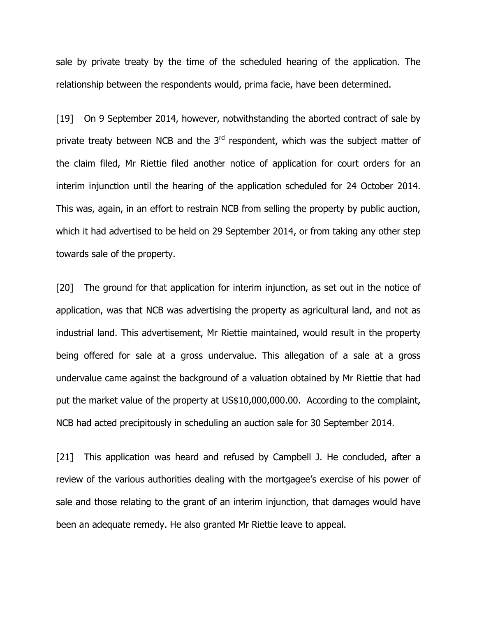sale by private treaty by the time of the scheduled hearing of the application. The relationship between the respondents would, prima facie, have been determined.

[19] On 9 September 2014, however, notwithstanding the aborted contract of sale by private treaty between NCB and the  $3<sup>rd</sup>$  respondent, which was the subject matter of the claim filed, Mr Riettie filed another notice of application for court orders for an interim injunction until the hearing of the application scheduled for 24 October 2014. This was, again, in an effort to restrain NCB from selling the property by public auction, which it had advertised to be held on 29 September 2014, or from taking any other step towards sale of the property.

[20] The ground for that application for interim injunction, as set out in the notice of application, was that NCB was advertising the property as agricultural land, and not as industrial land. This advertisement, Mr Riettie maintained, would result in the property being offered for sale at a gross undervalue. This allegation of a sale at a gross undervalue came against the background of a valuation obtained by Mr Riettie that had put the market value of the property at US\$10,000,000.00. According to the complaint, NCB had acted precipitously in scheduling an auction sale for 30 September 2014.

[21] This application was heard and refused by Campbell J. He concluded, after a review of the various authorities dealing with the mortgagee's exercise of his power of sale and those relating to the grant of an interim injunction, that damages would have been an adequate remedy. He also granted Mr Riettie leave to appeal.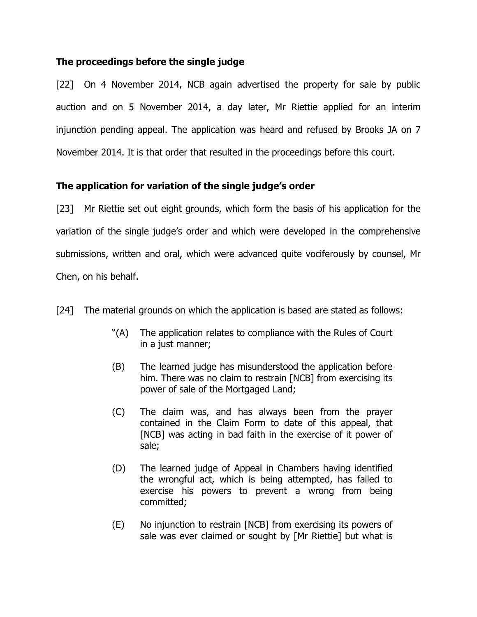## The proceedings before the single judge

[22] On 4 November 2014, NCB again advertised the property for sale by public auction and on 5 November 2014, a day later, Mr Riettie applied for an interim injunction pending appeal. The application was heard and refused by Brooks JA on 7 November 2014. It is that order that resulted in the proceedings before this court.

# The application for variation of the single judge's order

[23] Mr Riettie set out eight grounds, which form the basis of his application for the variation of the single judge's order and which were developed in the comprehensive submissions, written and oral, which were advanced quite vociferously by counsel, Mr Chen, on his behalf.

[24] The material grounds on which the application is based are stated as follows:

- "(A) The application relates to compliance with the Rules of Court in a just manner;
- (B) The learned judge has misunderstood the application before him. There was no claim to restrain [NCB] from exercising its power of sale of the Mortgaged Land;
- (C) The claim was, and has always been from the prayer contained in the Claim Form to date of this appeal, that [NCB] was acting in bad faith in the exercise of it power of sale;
- (D) The learned judge of Appeal in Chambers having identified the wrongful act, which is being attempted, has failed to exercise his powers to prevent a wrong from being committed;
- (E) No injunction to restrain [NCB] from exercising its powers of sale was ever claimed or sought by [Mr Riettie] but what is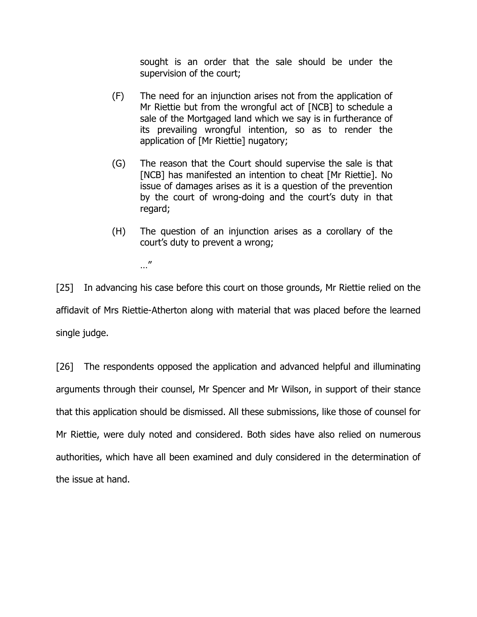sought is an order that the sale should be under the supervision of the court;

- (F) The need for an injunction arises not from the application of Mr Riettie but from the wrongful act of [NCB] to schedule a sale of the Mortgaged land which we say is in furtherance of its prevailing wrongful intention, so as to render the application of [Mr Riettie] nugatory;
- (G) The reason that the Court should supervise the sale is that [NCB] has manifested an intention to cheat [Mr Riettie]. No issue of damages arises as it is a question of the prevention by the court of wrong-doing and the court's duty in that regard;
- (H) The question of an injunction arises as a corollary of the court's duty to prevent a wrong;

…"

[25] In advancing his case before this court on those grounds, Mr Riettie relied on the affidavit of Mrs Riettie-Atherton along with material that was placed before the learned single judge.

[26] The respondents opposed the application and advanced helpful and illuminating arguments through their counsel, Mr Spencer and Mr Wilson, in support of their stance that this application should be dismissed. All these submissions, like those of counsel for Mr Riettie, were duly noted and considered. Both sides have also relied on numerous authorities, which have all been examined and duly considered in the determination of the issue at hand.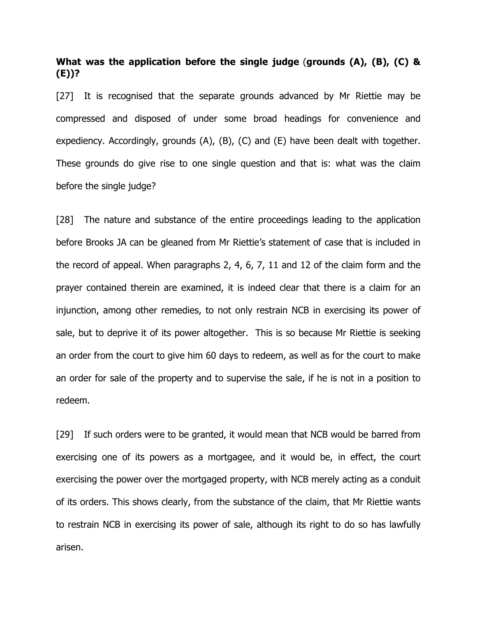## What was the application before the single judge (grounds (A), (B), (C) & (E))?

[27] It is recognised that the separate grounds advanced by Mr Riettie may be compressed and disposed of under some broad headings for convenience and expediency. Accordingly, grounds (A), (B), (C) and (E) have been dealt with together. These grounds do give rise to one single question and that is: what was the claim before the single judge?

[28] The nature and substance of the entire proceedings leading to the application before Brooks JA can be gleaned from Mr Riettie's statement of case that is included in the record of appeal. When paragraphs 2, 4, 6, 7, 11 and 12 of the claim form and the prayer contained therein are examined, it is indeed clear that there is a claim for an injunction, among other remedies, to not only restrain NCB in exercising its power of sale, but to deprive it of its power altogether. This is so because Mr Riettie is seeking an order from the court to give him 60 days to redeem, as well as for the court to make an order for sale of the property and to supervise the sale, if he is not in a position to redeem.

[29] If such orders were to be granted, it would mean that NCB would be barred from exercising one of its powers as a mortgagee, and it would be, in effect, the court exercising the power over the mortgaged property, with NCB merely acting as a conduit of its orders. This shows clearly, from the substance of the claim, that Mr Riettie wants to restrain NCB in exercising its power of sale, although its right to do so has lawfully arisen.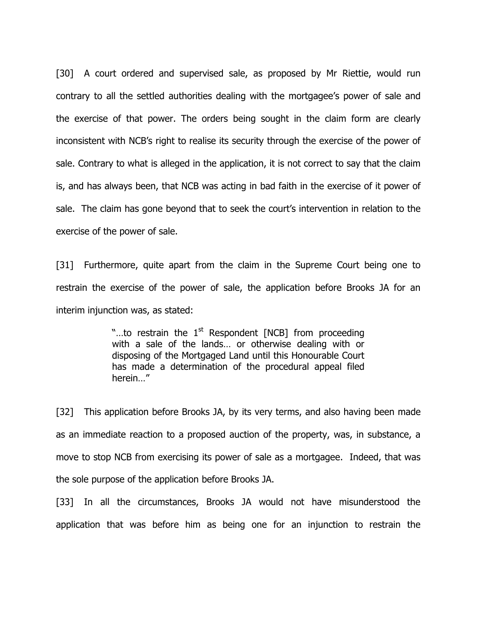[30] A court ordered and supervised sale, as proposed by Mr Riettie, would run contrary to all the settled authorities dealing with the mortgagee's power of sale and the exercise of that power. The orders being sought in the claim form are clearly inconsistent with NCB's right to realise its security through the exercise of the power of sale. Contrary to what is alleged in the application, it is not correct to say that the claim is, and has always been, that NCB was acting in bad faith in the exercise of it power of sale. The claim has gone beyond that to seek the court's intervention in relation to the exercise of the power of sale.

[31] Furthermore, quite apart from the claim in the Supreme Court being one to restrain the exercise of the power of sale, the application before Brooks JA for an interim injunction was, as stated:

> "...to restrain the  $1<sup>st</sup>$  Respondent [NCB] from proceeding with a sale of the lands… or otherwise dealing with or disposing of the Mortgaged Land until this Honourable Court has made a determination of the procedural appeal filed herein…"

[32] This application before Brooks JA, by its very terms, and also having been made as an immediate reaction to a proposed auction of the property, was, in substance, a move to stop NCB from exercising its power of sale as a mortgagee. Indeed, that was the sole purpose of the application before Brooks JA.

[33] In all the circumstances, Brooks JA would not have misunderstood the application that was before him as being one for an injunction to restrain the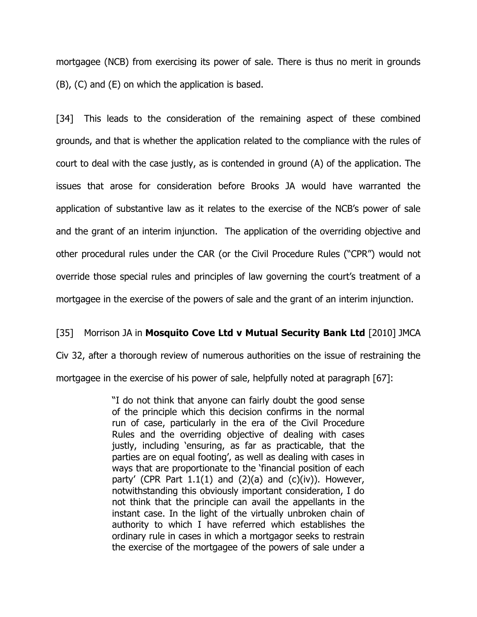mortgagee (NCB) from exercising its power of sale. There is thus no merit in grounds (B), (C) and (E) on which the application is based.

[34] This leads to the consideration of the remaining aspect of these combined grounds, and that is whether the application related to the compliance with the rules of court to deal with the case justly, as is contended in ground (A) of the application. The issues that arose for consideration before Brooks JA would have warranted the application of substantive law as it relates to the exercise of the NCB's power of sale and the grant of an interim injunction. The application of the overriding objective and other procedural rules under the CAR (or the Civil Procedure Rules ("CPR") would not override those special rules and principles of law governing the court's treatment of a mortgagee in the exercise of the powers of sale and the grant of an interim injunction.

## [35] Morrison JA in Mosquito Cove Ltd v Mutual Security Bank Ltd [2010] JMCA

Civ 32, after a thorough review of numerous authorities on the issue of restraining the mortgagee in the exercise of his power of sale, helpfully noted at paragraph [67]:

> "I do not think that anyone can fairly doubt the good sense of the principle which this decision confirms in the normal run of case, particularly in the era of the Civil Procedure Rules and the overriding objective of dealing with cases justly, including 'ensuring, as far as practicable, that the parties are on equal footing', as well as dealing with cases in ways that are proportionate to the 'financial position of each party' (CPR Part  $1.1(1)$  and  $(2)(a)$  and  $(c)(iv)$ ). However, notwithstanding this obviously important consideration, I do not think that the principle can avail the appellants in the instant case. In the light of the virtually unbroken chain of authority to which I have referred which establishes the ordinary rule in cases in which a mortgagor seeks to restrain the exercise of the mortgagee of the powers of sale under a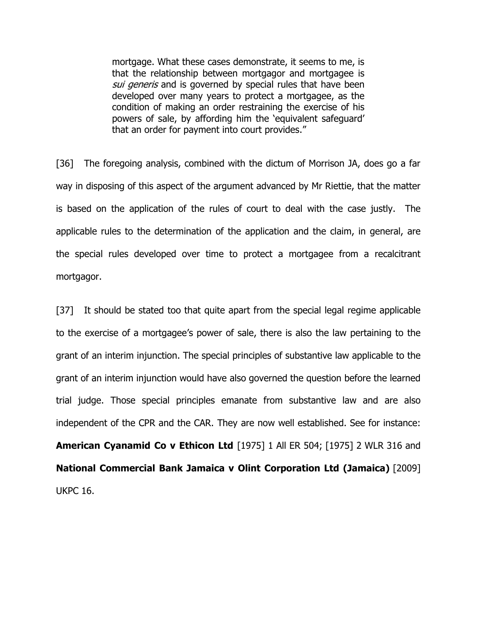mortgage. What these cases demonstrate, it seems to me, is that the relationship between mortgagor and mortgagee is sui generis and is governed by special rules that have been developed over many years to protect a mortgagee, as the condition of making an order restraining the exercise of his powers of sale, by affording him the 'equivalent safeguard' that an order for payment into court provides."

[36] The foregoing analysis, combined with the dictum of Morrison JA, does go a far way in disposing of this aspect of the argument advanced by Mr Riettie, that the matter is based on the application of the rules of court to deal with the case justly. The applicable rules to the determination of the application and the claim, in general, are the special rules developed over time to protect a mortgagee from a recalcitrant mortgagor.

[37] It should be stated too that quite apart from the special legal regime applicable to the exercise of a mortgagee's power of sale, there is also the law pertaining to the grant of an interim injunction. The special principles of substantive law applicable to the grant of an interim injunction would have also governed the question before the learned trial judge. Those special principles emanate from substantive law and are also independent of the CPR and the CAR. They are now well established. See for instance: American Cyanamid Co v Ethicon Ltd [1975] 1 All ER 504; [1975] 2 WLR 316 and National Commercial Bank Jamaica v Olint Corporation Ltd (Jamaica) [2009] UKPC 16.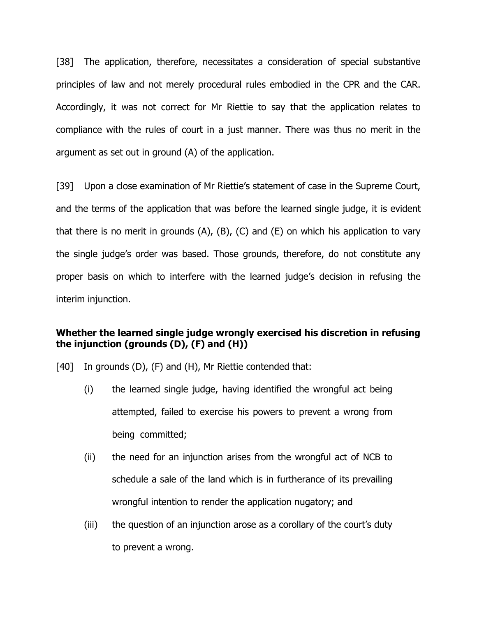[38] The application, therefore, necessitates a consideration of special substantive principles of law and not merely procedural rules embodied in the CPR and the CAR. Accordingly, it was not correct for Mr Riettie to say that the application relates to compliance with the rules of court in a just manner. There was thus no merit in the argument as set out in ground (A) of the application.

[39] Upon a close examination of Mr Riettie's statement of case in the Supreme Court, and the terms of the application that was before the learned single judge, it is evident that there is no merit in grounds  $(A)$ ,  $(B)$ ,  $(C)$  and  $(E)$  on which his application to vary the single judge's order was based. Those grounds, therefore, do not constitute any proper basis on which to interfere with the learned judge's decision in refusing the interim injunction.

# Whether the learned single judge wrongly exercised his discretion in refusing the injunction (grounds  $(D)$ ,  $(F)$  and  $(H)$ )

- [40] In grounds (D), (F) and (H), Mr Riettie contended that:
	- (i) the learned single judge, having identified the wrongful act being attempted, failed to exercise his powers to prevent a wrong from being committed;
	- (ii) the need for an injunction arises from the wrongful act of NCB to schedule a sale of the land which is in furtherance of its prevailing wrongful intention to render the application nugatory; and
	- (iii) the question of an injunction arose as a corollary of the court's duty to prevent a wrong.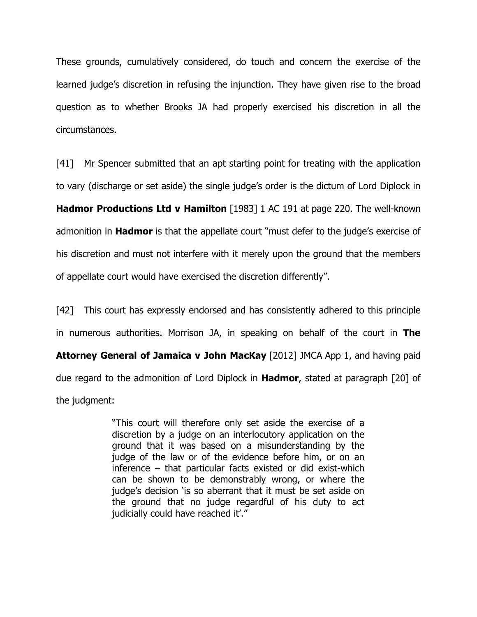These grounds, cumulatively considered, do touch and concern the exercise of the learned judge's discretion in refusing the injunction. They have given rise to the broad question as to whether Brooks JA had properly exercised his discretion in all the circumstances.

[41] Mr Spencer submitted that an apt starting point for treating with the application to vary (discharge or set aside) the single judge's order is the dictum of Lord Diplock in **Hadmor Productions Ltd v Hamilton** [1983] 1 AC 191 at page 220. The well-known admonition in **Hadmor** is that the appellate court "must defer to the judge's exercise of his discretion and must not interfere with it merely upon the ground that the members of appellate court would have exercised the discretion differently".

[42] This court has expressly endorsed and has consistently adhered to this principle in numerous authorities. Morrison JA, in speaking on behalf of the court in The Attorney General of Jamaica v John MacKay [2012] JMCA App 1, and having paid due regard to the admonition of Lord Diplock in **Hadmor**, stated at paragraph [20] of the judgment:

> "This court will therefore only set aside the exercise of a discretion by a judge on an interlocutory application on the ground that it was based on a misunderstanding by the judge of the law or of the evidence before him, or on an inference – that particular facts existed or did exist-which can be shown to be demonstrably wrong, or where the judge's decision 'is so aberrant that it must be set aside on the ground that no judge regardful of his duty to act judicially could have reached it'."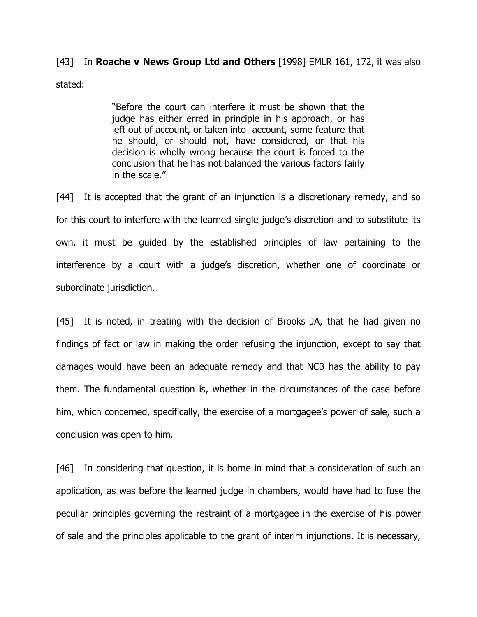# [43] In Roache v News Group Ltd and Others [1998] EMLR 161, 172, it was also stated:

"Before the court can interfere it must be shown that the judge has either erred in principle in his approach, or has left out of account, or taken into account, some feature that he should, or should not, have considered, or that his decision is wholly wrong because the court is forced to the conclusion that he has not balanced the various factors fairly in the scale."

[44] It is accepted that the grant of an injunction is a discretionary remedy, and so for this court to interfere with the learned single judge's discretion and to substitute its own, it must be guided by the established principles of law pertaining to the interference by a court with a judge's discretion, whether one of coordinate or subordinate jurisdiction.

[45] It is noted, in treating with the decision of Brooks JA, that he had given no findings of fact or law in making the order refusing the injunction, except to say that damages would have been an adequate remedy and that NCB has the ability to pay them. The fundamental question is, whether in the circumstances of the case before him, which concerned, specifically, the exercise of a mortgagee's power of sale, such a conclusion was open to him.

[46] In considering that question, it is borne in mind that a consideration of such an application, as was before the learned judge in chambers, would have had to fuse the peculiar principles governing the restraint of a mortgagee in the exercise of his power of sale and the principles applicable to the grant of interim injunctions. It is necessary,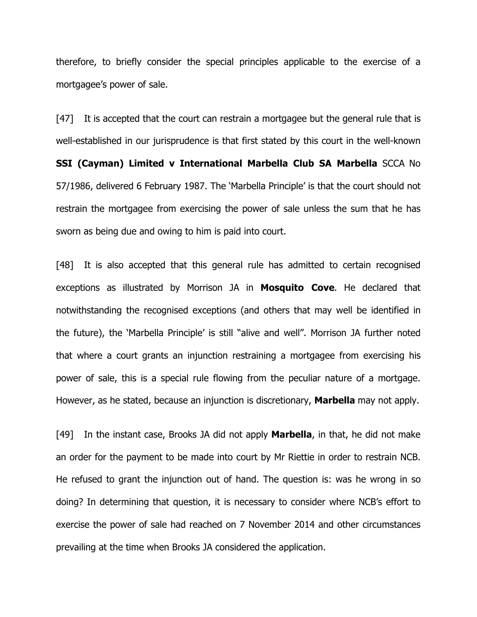therefore, to briefly consider the special principles applicable to the exercise of a mortgagee's power of sale.

[47] It is accepted that the court can restrain a mortgagee but the general rule that is well-established in our jurisprudence is that first stated by this court in the well-known SSI (Cayman) Limited v International Marbella Club SA Marbella SCCA No 57/1986, delivered 6 February 1987. The 'Marbella Principle' is that the court should not restrain the mortgagee from exercising the power of sale unless the sum that he has sworn as being due and owing to him is paid into court.

[48] It is also accepted that this general rule has admitted to certain recognised exceptions as illustrated by Morrison JA in Mosquito Cove. He declared that notwithstanding the recognised exceptions (and others that may well be identified in the future), the 'Marbella Principle' is still "alive and well". Morrison JA further noted that where a court grants an injunction restraining a mortgagee from exercising his power of sale, this is a special rule flowing from the peculiar nature of a mortgage. However, as he stated, because an injunction is discretionary, **Marbella** may not apply.

[49] In the instant case, Brooks JA did not apply **Marbella**, in that, he did not make an order for the payment to be made into court by Mr Riettie in order to restrain NCB. He refused to grant the injunction out of hand. The question is: was he wrong in so doing? In determining that question, it is necessary to consider where NCB's effort to exercise the power of sale had reached on 7 November 2014 and other circumstances prevailing at the time when Brooks JA considered the application.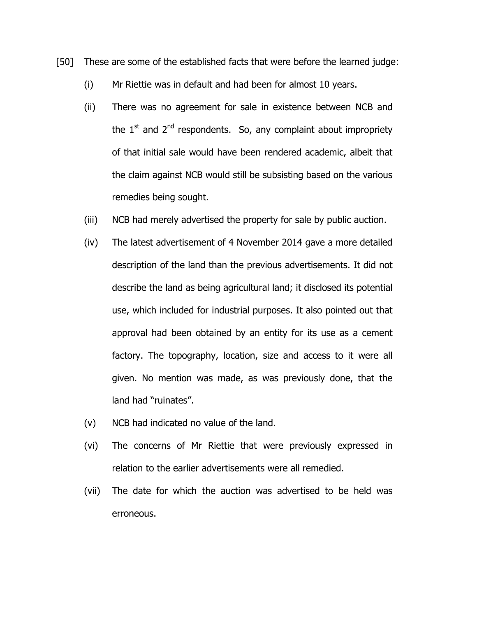- [50] These are some of the established facts that were before the learned judge:
	- (i) Mr Riettie was in default and had been for almost 10 years.
	- (ii) There was no agreement for sale in existence between NCB and the  $1<sup>st</sup>$  and  $2<sup>nd</sup>$  respondents. So, any complaint about impropriety of that initial sale would have been rendered academic, albeit that the claim against NCB would still be subsisting based on the various remedies being sought.
	- (iii) NCB had merely advertised the property for sale by public auction.
	- (iv) The latest advertisement of 4 November 2014 gave a more detailed description of the land than the previous advertisements. It did not describe the land as being agricultural land; it disclosed its potential use, which included for industrial purposes. It also pointed out that approval had been obtained by an entity for its use as a cement factory. The topography, location, size and access to it were all given. No mention was made, as was previously done, that the land had "ruinates".
	- (v) NCB had indicated no value of the land.
	- (vi) The concerns of Mr Riettie that were previously expressed in relation to the earlier advertisements were all remedied.
	- (vii) The date for which the auction was advertised to be held was erroneous.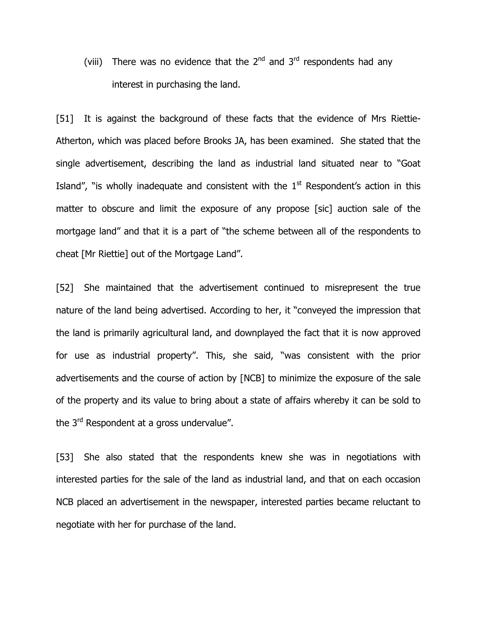(viii) There was no evidence that the  $2<sup>nd</sup>$  and  $3<sup>rd</sup>$  respondents had any interest in purchasing the land.

[51] It is against the background of these facts that the evidence of Mrs Riettie-Atherton, which was placed before Brooks JA, has been examined. She stated that the single advertisement, describing the land as industrial land situated near to "Goat Island", "is wholly inadequate and consistent with the  $1<sup>st</sup>$  Respondent's action in this matter to obscure and limit the exposure of any propose [sic] auction sale of the mortgage land" and that it is a part of "the scheme between all of the respondents to cheat [Mr Riettie] out of the Mortgage Land".

[52] She maintained that the advertisement continued to misrepresent the true nature of the land being advertised. According to her, it "conveyed the impression that the land is primarily agricultural land, and downplayed the fact that it is now approved for use as industrial property". This, she said, "was consistent with the prior advertisements and the course of action by [NCB] to minimize the exposure of the sale of the property and its value to bring about a state of affairs whereby it can be sold to the 3<sup>rd</sup> Respondent at a gross undervalue".

[53] She also stated that the respondents knew she was in negotiations with interested parties for the sale of the land as industrial land, and that on each occasion NCB placed an advertisement in the newspaper, interested parties became reluctant to negotiate with her for purchase of the land.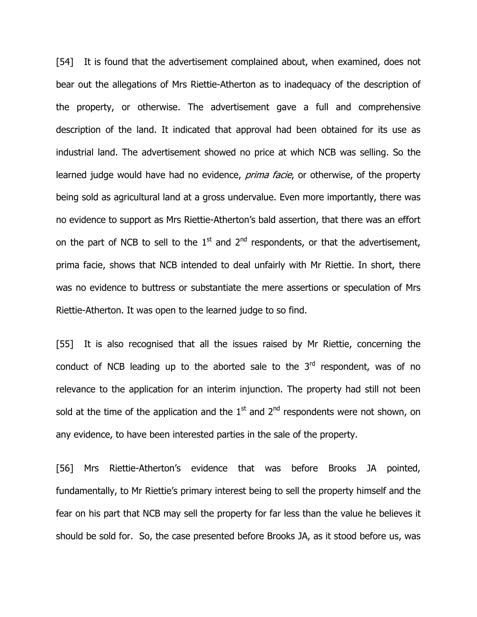[54] It is found that the advertisement complained about, when examined, does not bear out the allegations of Mrs Riettie-Atherton as to inadequacy of the description of the property, or otherwise. The advertisement gave a full and comprehensive description of the land. It indicated that approval had been obtained for its use as industrial land. The advertisement showed no price at which NCB was selling. So the learned judge would have had no evidence, *prima facie*, or otherwise, of the property being sold as agricultural land at a gross undervalue. Even more importantly, there was no evidence to support as Mrs Riettie-Atherton's bald assertion, that there was an effort on the part of NCB to sell to the  $1<sup>st</sup>$  and  $2<sup>nd</sup>$  respondents, or that the advertisement, prima facie, shows that NCB intended to deal unfairly with Mr Riettie. In short, there was no evidence to buttress or substantiate the mere assertions or speculation of Mrs Riettie-Atherton. It was open to the learned judge to so find.

[55] It is also recognised that all the issues raised by Mr Riettie, concerning the conduct of NCB leading up to the aborted sale to the  $3<sup>rd</sup>$  respondent, was of no relevance to the application for an interim injunction. The property had still not been sold at the time of the application and the  $1<sup>st</sup>$  and  $2<sup>nd</sup>$  respondents were not shown, on any evidence, to have been interested parties in the sale of the property.

[56] Mrs Riettie-Atherton's evidence that was before Brooks JA pointed, fundamentally, to Mr Riettie's primary interest being to sell the property himself and the fear on his part that NCB may sell the property for far less than the value he believes it should be sold for. So, the case presented before Brooks JA, as it stood before us, was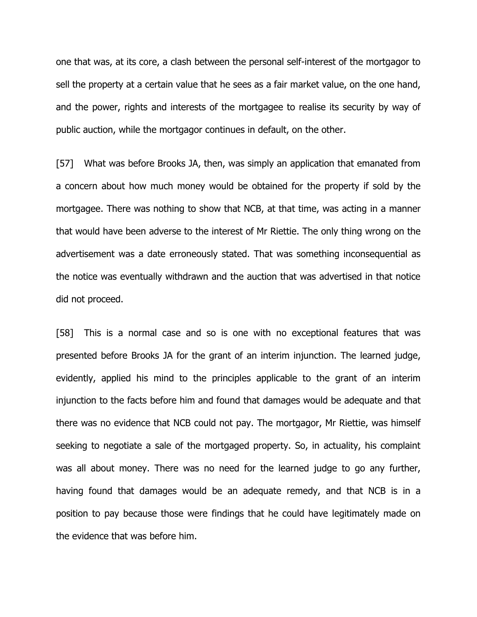one that was, at its core, a clash between the personal self-interest of the mortgagor to sell the property at a certain value that he sees as a fair market value, on the one hand, and the power, rights and interests of the mortgagee to realise its security by way of public auction, while the mortgagor continues in default, on the other.

[57] What was before Brooks JA, then, was simply an application that emanated from a concern about how much money would be obtained for the property if sold by the mortgagee. There was nothing to show that NCB, at that time, was acting in a manner that would have been adverse to the interest of Mr Riettie. The only thing wrong on the advertisement was a date erroneously stated. That was something inconsequential as the notice was eventually withdrawn and the auction that was advertised in that notice did not proceed.

[58] This is a normal case and so is one with no exceptional features that was presented before Brooks JA for the grant of an interim injunction. The learned judge, evidently, applied his mind to the principles applicable to the grant of an interim injunction to the facts before him and found that damages would be adequate and that there was no evidence that NCB could not pay. The mortgagor, Mr Riettie, was himself seeking to negotiate a sale of the mortgaged property. So, in actuality, his complaint was all about money. There was no need for the learned judge to go any further, having found that damages would be an adequate remedy, and that NCB is in a position to pay because those were findings that he could have legitimately made on the evidence that was before him.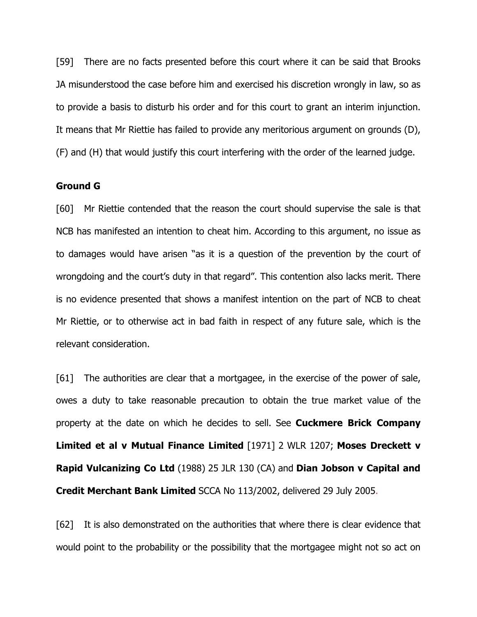[59] There are no facts presented before this court where it can be said that Brooks JA misunderstood the case before him and exercised his discretion wrongly in law, so as to provide a basis to disturb his order and for this court to grant an interim injunction. It means that Mr Riettie has failed to provide any meritorious argument on grounds (D), (F) and (H) that would justify this court interfering with the order of the learned judge.

#### Ground G

[60] Mr Riettie contended that the reason the court should supervise the sale is that NCB has manifested an intention to cheat him. According to this argument, no issue as to damages would have arisen "as it is a question of the prevention by the court of wrongdoing and the court's duty in that regard". This contention also lacks merit. There is no evidence presented that shows a manifest intention on the part of NCB to cheat Mr Riettie, or to otherwise act in bad faith in respect of any future sale, which is the relevant consideration.

[61] The authorities are clear that a mortgagee, in the exercise of the power of sale, owes a duty to take reasonable precaution to obtain the true market value of the property at the date on which he decides to sell. See **Cuckmere Brick Company** Limited et al v Mutual Finance Limited [1971] 2 WLR 1207; Moses Dreckett v Rapid Vulcanizing Co Ltd (1988) 25 JLR 130 (CA) and Dian Jobson v Capital and Credit Merchant Bank Limited SCCA No 113/2002, delivered 29 July 2005.

[62] It is also demonstrated on the authorities that where there is clear evidence that would point to the probability or the possibility that the mortgagee might not so act on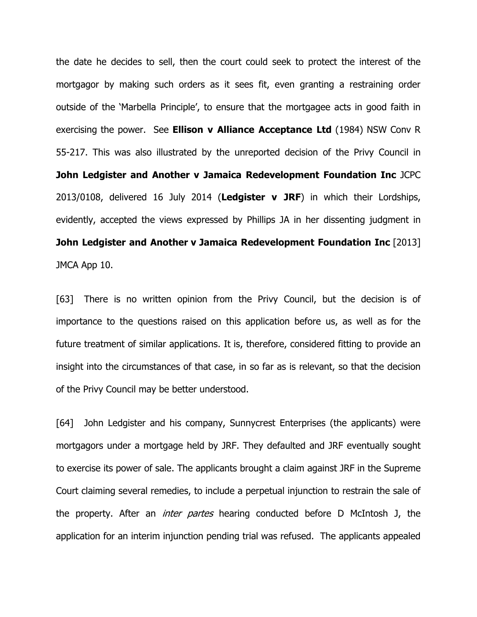the date he decides to sell, then the court could seek to protect the interest of the mortgagor by making such orders as it sees fit, even granting a restraining order outside of the 'Marbella Principle', to ensure that the mortgagee acts in good faith in exercising the power. See **Ellison v Alliance Acceptance Ltd** (1984) NSW Conv R 55-217. This was also illustrated by the unreported decision of the Privy Council in John Ledgister and Another v Jamaica Redevelopment Foundation Inc JCPC 2013/0108, delivered 16 July 2014 (Ledgister  $v$  JRF) in which their Lordships, evidently, accepted the views expressed by Phillips JA in her dissenting judgment in John Ledgister and Another v Jamaica Redevelopment Foundation Inc [2013] JMCA App 10.

[63] There is no written opinion from the Privy Council, but the decision is of importance to the questions raised on this application before us, as well as for the future treatment of similar applications. It is, therefore, considered fitting to provide an insight into the circumstances of that case, in so far as is relevant, so that the decision of the Privy Council may be better understood.

[64] John Ledgister and his company, Sunnycrest Enterprises (the applicants) were mortgagors under a mortgage held by JRF. They defaulted and JRF eventually sought to exercise its power of sale. The applicants brought a claim against JRF in the Supreme Court claiming several remedies, to include a perpetual injunction to restrain the sale of the property. After an *inter partes* hearing conducted before D McIntosh J, the application for an interim injunction pending trial was refused. The applicants appealed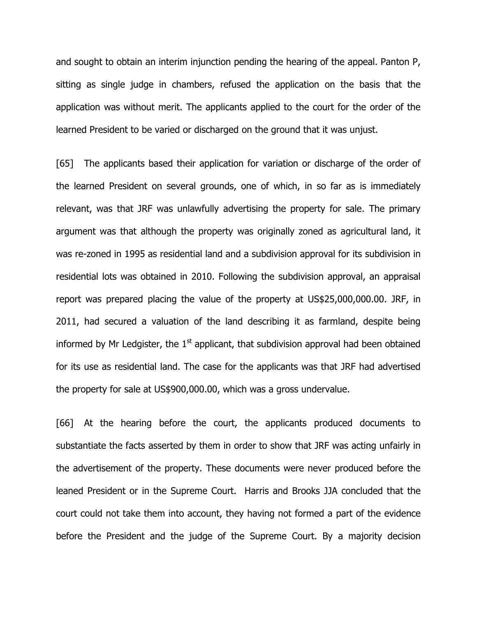and sought to obtain an interim injunction pending the hearing of the appeal. Panton P, sitting as single judge in chambers, refused the application on the basis that the application was without merit. The applicants applied to the court for the order of the learned President to be varied or discharged on the ground that it was unjust.

[65] The applicants based their application for variation or discharge of the order of the learned President on several grounds, one of which, in so far as is immediately relevant, was that JRF was unlawfully advertising the property for sale. The primary argument was that although the property was originally zoned as agricultural land, it was re-zoned in 1995 as residential land and a subdivision approval for its subdivision in residential lots was obtained in 2010. Following the subdivision approval, an appraisal report was prepared placing the value of the property at US\$25,000,000.00. JRF, in 2011, had secured a valuation of the land describing it as farmland, despite being informed by Mr Ledgister, the  $1<sup>st</sup>$  applicant, that subdivision approval had been obtained for its use as residential land. The case for the applicants was that JRF had advertised the property for sale at US\$900,000.00, which was a gross undervalue.

[66] At the hearing before the court, the applicants produced documents to substantiate the facts asserted by them in order to show that JRF was acting unfairly in the advertisement of the property. These documents were never produced before the leaned President or in the Supreme Court. Harris and Brooks JJA concluded that the court could not take them into account, they having not formed a part of the evidence before the President and the judge of the Supreme Court. By a majority decision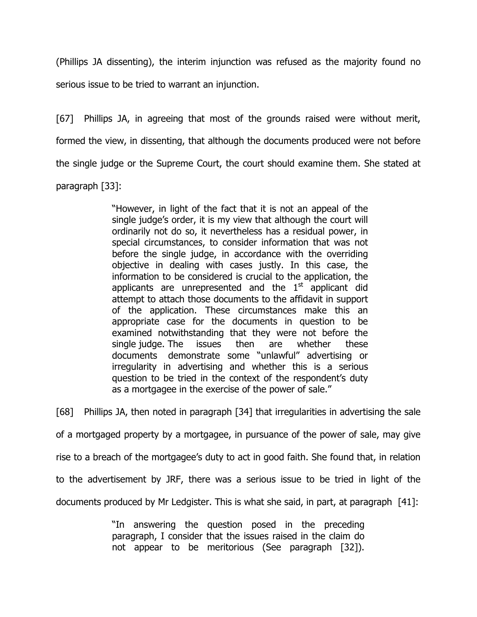(Phillips JA dissenting), the interim injunction was refused as the majority found no serious issue to be tried to warrant an injunction.

[67] Phillips JA, in agreeing that most of the grounds raised were without merit, formed the view, in dissenting, that although the documents produced were not before the single judge or the Supreme Court, the court should examine them. She stated at paragraph [33]:

> "However, in light of the fact that it is not an appeal of the single judge's order, it is my view that although the court will ordinarily not do so, it nevertheless has a residual power, in special circumstances, to consider information that was not before the single judge, in accordance with the overriding objective in dealing with cases justly. In this case, the information to be considered is crucial to the application, the applicants are unrepresented and the  $1<sup>st</sup>$  applicant did attempt to attach those documents to the affidavit in support of the application. These circumstances make this an appropriate case for the documents in question to be examined notwithstanding that they were not before the single judge. The issues then are whether these documents demonstrate some "unlawful" advertising or irregularity in advertising and whether this is a serious question to be tried in the context of the respondent's duty as a mortgagee in the exercise of the power of sale."

[68] Phillips JA, then noted in paragraph [34] that irregularities in advertising the sale of a mortgaged property by a mortgagee, in pursuance of the power of sale, may give rise to a breach of the mortgagee's duty to act in good faith. She found that, in relation to the advertisement by JRF, there was a serious issue to be tried in light of the documents produced by Mr Ledgister. This is what she said, in part, at paragraph [41]:

> "In answering the question posed in the preceding paragraph, I consider that the issues raised in the claim do not appear to be meritorious (See paragraph [32]).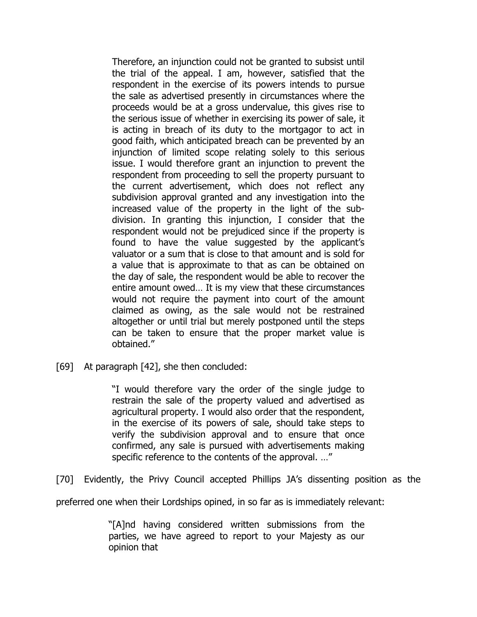Therefore, an injunction could not be granted to subsist until the trial of the appeal. I am, however, satisfied that the respondent in the exercise of its powers intends to pursue the sale as advertised presently in circumstances where the proceeds would be at a gross undervalue, this gives rise to the serious issue of whether in exercising its power of sale, it is acting in breach of its duty to the mortgagor to act in good faith, which anticipated breach can be prevented by an injunction of limited scope relating solely to this serious issue. I would therefore grant an injunction to prevent the respondent from proceeding to sell the property pursuant to the current advertisement, which does not reflect any subdivision approval granted and any investigation into the increased value of the property in the light of the subdivision. In granting this injunction, I consider that the respondent would not be prejudiced since if the property is found to have the value suggested by the applicant's valuator or a sum that is close to that amount and is sold for a value that is approximate to that as can be obtained on the day of sale, the respondent would be able to recover the entire amount owed… It is my view that these circumstances would not require the payment into court of the amount claimed as owing, as the sale would not be restrained altogether or until trial but merely postponed until the steps can be taken to ensure that the proper market value is obtained."

[69] At paragraph [42], she then concluded:

"I would therefore vary the order of the single judge to restrain the sale of the property valued and advertised as agricultural property. I would also order that the respondent, in the exercise of its powers of sale, should take steps to verify the subdivision approval and to ensure that once confirmed, any sale is pursued with advertisements making specific reference to the contents of the approval. …"

[70] Evidently, the Privy Council accepted Phillips JA's dissenting position as the

preferred one when their Lordships opined, in so far as is immediately relevant:

"[A]nd having considered written submissions from the parties, we have agreed to report to your Majesty as our opinion that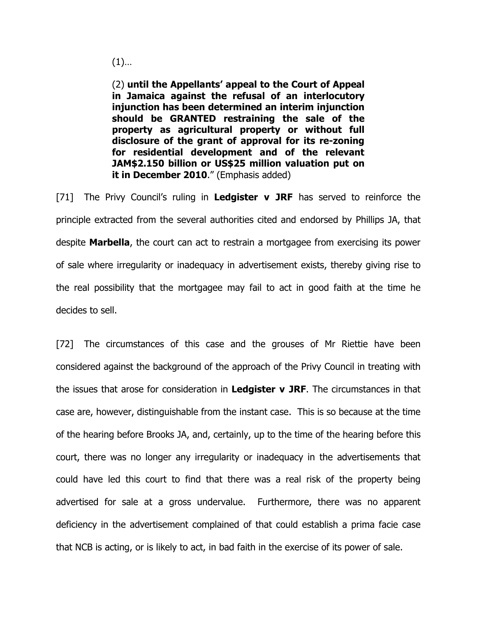$(1)$ …

(2) until the Appellants' appeal to the Court of Appeal in Jamaica against the refusal of an interlocutory injunction has been determined an interim injunction should be GRANTED restraining the sale of the property as agricultural property or without full disclosure of the grant of approval for its re-zoning for residential development and of the relevant JAM\$2.150 billion or US\$25 million valuation put on it in December 2010." (Emphasis added)

[71] The Privy Council's ruling in Ledgister  $v$  JRF has served to reinforce the principle extracted from the several authorities cited and endorsed by Phillips JA, that despite **Marbella**, the court can act to restrain a mortgagee from exercising its power of sale where irregularity or inadequacy in advertisement exists, thereby giving rise to the real possibility that the mortgagee may fail to act in good faith at the time he decides to sell.

[72] The circumstances of this case and the grouses of Mr Riettie have been considered against the background of the approach of the Privy Council in treating with the issues that arose for consideration in Ledgister  $v$  JRF. The circumstances in that case are, however, distinguishable from the instant case. This is so because at the time of the hearing before Brooks JA, and, certainly, up to the time of the hearing before this court, there was no longer any irregularity or inadequacy in the advertisements that could have led this court to find that there was a real risk of the property being advertised for sale at a gross undervalue. Furthermore, there was no apparent deficiency in the advertisement complained of that could establish a prima facie case that NCB is acting, or is likely to act, in bad faith in the exercise of its power of sale.